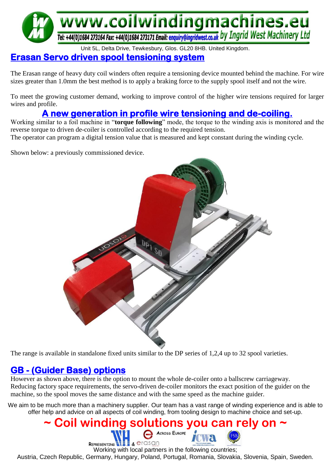

## Unit 5L, Delta Drive, Tewkesbury, Glos. GL20 8HB. United Kingdom.

## **Erasan Servo driven spool tensioning system**

The Erasan range of heavy duty coil winders often require a tensioning device mounted behind the machine. For wire sizes greater than 1.0mm the best method is to apply a braking force to the supply spool itself and not the wire.

To meet the growing customer demand, working to improve control of the higher wire tensions required for larger wires and profile.

## **A new generation in profile wire tensioning and de-coiling.**

Working similar to a foil machine in "**torque following**" mode, the torque to the winding axis is monitored and the reverse torque to driven de-coiler is controlled according to the required tension. The operator can program a digital tension value that is measured and kept constant during the winding cycle.

Shown below: a previously commissioned device.



The range is available in standalone fixed units similar to the DP series of 1,2,4 up to 32 spool varieties.

## **GB - (Guider Base) options**

However as shown above, there is the option to mount the whole de-coiler onto a ballscrew carriageway. Reducing factory space requirements, the servo-driven de-coiler monitors the exact position of the guider on the machine, so the spool moves the same distance and with the same speed as the machine guider.

We aim to be much more than a machinery supplier. Our team has a vast range of winding experience and is able to offer help and advice on all aspects of coil winding, from tooling design to machine choice and set-up.

#### **~ Coil winding solutions you can rely on ~ ACROSS EUROPE REPRESENTING WELL & CIGSON** Working with local partners in the following countries;

Austria, Czech Republic, Germany, Hungary, Poland, Portugal, Romania, Slovakia, Slovenia, Spain, Sweden.